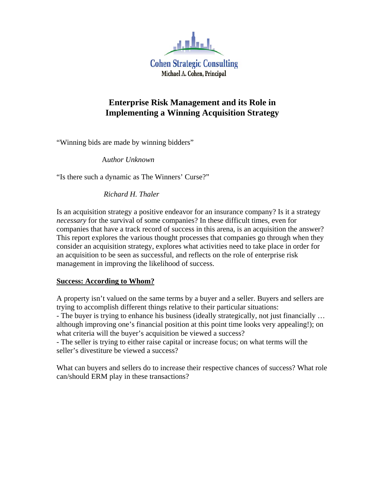

# **Enterprise Risk Management and its Role in Implementing a Winning Acquisition Strategy**

"Winning bids are made by winning bidders"

A*uthor Unknown* 

"Is there such a dynamic as The Winners' Curse?"

 *Richard H. Thaler* 

Is an acquisition strategy a positive endeavor for an insurance company? Is it a strategy *necessary* for the survival of some companies? In these difficult times, even for companies that have a track record of success in this arena, is an acquisition the answer? This report explores the various thought processes that companies go through when they consider an acquisition strategy, explores what activities need to take place in order for an acquisition to be seen as successful, and reflects on the role of enterprise risk management in improving the likelihood of success.

# **Success: According to Whom?**

A property isn't valued on the same terms by a buyer and a seller. Buyers and sellers are trying to accomplish different things relative to their particular situations:

- The buyer is trying to enhance his business (ideally strategically, not just financially ... although improving one's financial position at this point time looks very appealing!); on what criteria will the buyer's acquisition be viewed a success?

- The seller is trying to either raise capital or increase focus; on what terms will the seller's divestiture be viewed a success?

What can buyers and sellers do to increase their respective chances of success? What role can/should ERM play in these transactions?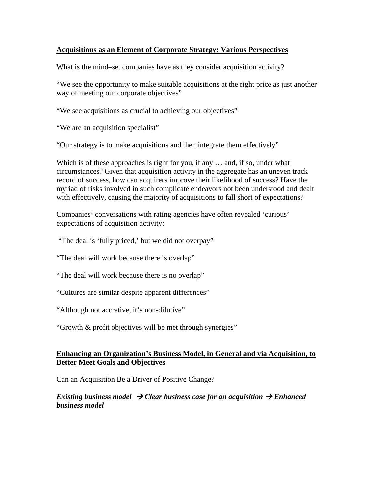## **Acquisitions as an Element of Corporate Strategy: Various Perspectives**

What is the mind–set companies have as they consider acquisition activity?

"We see the opportunity to make suitable acquisitions at the right price as just another way of meeting our corporate objectives"

"We see acquisitions as crucial to achieving our objectives"

"We are an acquisition specialist"

"Our strategy is to make acquisitions and then integrate them effectively"

Which is of these approaches is right for you, if any ... and, if so, under what circumstances? Given that acquisition activity in the aggregate has an uneven track record of success, how can acquirers improve their likelihood of success? Have the myriad of risks involved in such complicate endeavors not been understood and dealt with effectively, causing the majority of acquisitions to fall short of expectations?

Companies' conversations with rating agencies have often revealed 'curious' expectations of acquisition activity:

"The deal is 'fully priced,' but we did not overpay"

"The deal will work because there is overlap"

"The deal will work because there is no overlap"

"Cultures are similar despite apparent differences"

"Although not accretive, it's non-dilutive"

"Growth & profit objectives will be met through synergies"

# **Enhancing an Organization's Business Model, in General and via Acquisition, to Better Meet Goals and Objectives**

Can an Acquisition Be a Driver of Positive Change?

## *Existing business model*  $\rightarrow$  *Clear business case for an acquisition*  $\rightarrow$  *Enhanced business model*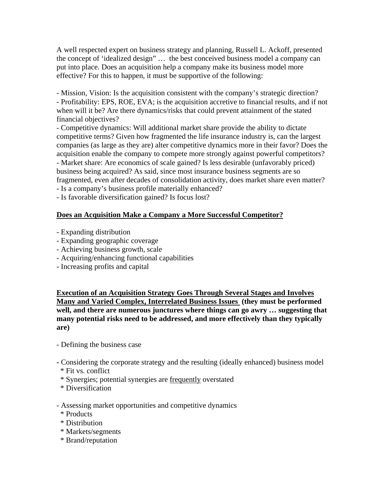A well respected expert on business strategy and planning, Russell L. Ackoff, presented the concept of 'idealized design" … the best conceived business model a company can put into place. Does an acquisition help a company make its business model more effective? For this to happen, it must be supportive of the following:

- Mission, Vision: Is the acquisition consistent with the company's strategic direction? - Profitability: EPS, ROE, EVA; is the acquisition accretive to financial results, and if not when will it be? Are there dynamics/risks that could prevent attainment of the stated financial objectives?

- Competitive dynamics: Will additional market share provide the ability to dictate competitive terms? Given how fragmented the life insurance industry is, can the largest companies (as large as they are) alter competitive dynamics more in their favor? Does the acquisition enable the company to compete more strongly against powerful competitors? - Market share: Are economics of scale gained? Is less desirable (unfavorably priced) business being acquired? As said, since most insurance business segments are so fragmented, even after decades of consolidation activity, does market share even matter?

- Is a company's business profile materially enhanced?

- Is favorable diversification gained? Is focus lost?

# **Does an Acquisition Make a Company a More Successful Competitor?**

- Expanding distribution
- Expanding geographic coverage
- Achieving business growth, scale
- Acquiring/enhancing functional capabilities
- Increasing profits and capital

**Execution of an Acquisition Strategy Goes Through Several Stages and Involves Many and Varied Complex, Interrelated Business Issues (they must be performed well, and there are numerous junctures where things can go awry … suggesting that many potential risks need to be addressed, and more effectively than they typically are)** 

- Defining the business case
- Considering the corporate strategy and the resulting (ideally enhanced) business model \* Fit vs. conflict
- \* Synergies; potential synergies are frequently overstated
- \* Diversification
- Assessing market opportunities and competitive dynamics
- \* Products
- \* Distribution
- \* Markets/segments
- \* Brand/reputation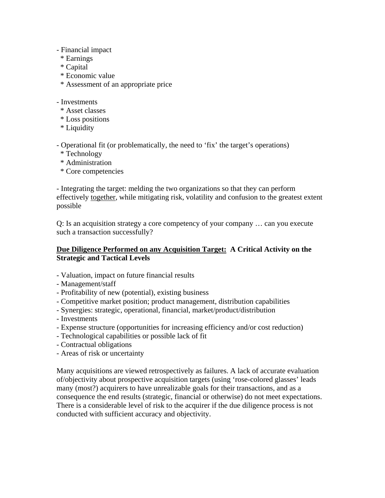- Financial impact
- \* Earnings
- \* Capital
- \* Economic value
- \* Assessment of an appropriate price
- Investments
- \* Asset classes
- \* Loss positions
- \* Liquidity

- Operational fit (or problematically, the need to 'fix' the target's operations)

- \* Technology
- \* Administration
- \* Core competencies

- Integrating the target: melding the two organizations so that they can perform effectively together, while mitigating risk, volatility and confusion to the greatest extent possible

Q: Is an acquisition strategy a core competency of your company … can you execute such a transaction successfully?

# **Due Diligence Performed on any Acquisition Target: A Critical Activity on the Strategic and Tactical Levels**

- Valuation, impact on future financial results
- Management/staff
- Profitability of new (potential), existing business
- Competitive market position; product management, distribution capabilities
- Synergies: strategic, operational, financial, market/product/distribution
- Investments
- Expense structure (opportunities for increasing efficiency and/or cost reduction)
- Technological capabilities or possible lack of fit
- Contractual obligations
- Areas of risk or uncertainty

Many acquisitions are viewed retrospectively as failures. A lack of accurate evaluation of/objectivity about prospective acquisition targets (using 'rose-colored glasses' leads many (most?) acquirers to have unrealizable goals for their transactions, and as a consequence the end results (strategic, financial or otherwise) do not meet expectations. There is a considerable level of risk to the acquirer if the due diligence process is not conducted with sufficient accuracy and objectivity.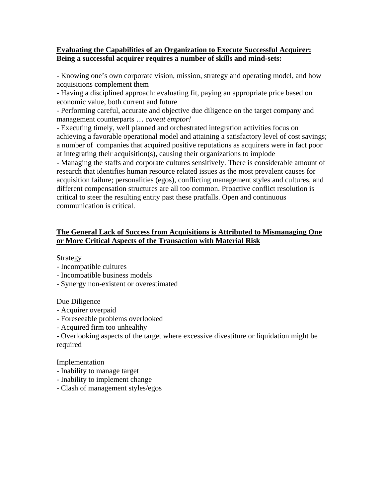## **Evaluating the Capabilities of an Organization to Execute Successful Acquirer: Being a successful acquirer requires a number of skills and mind-sets:**

- Knowing one's own corporate vision, mission, strategy and operating model, and how acquisitions complement them

- Having a disciplined approach: evaluating fit, paying an appropriate price based on economic value, both current and future

- Performing careful, accurate and objective due diligence on the target company and management counterparts … *caveat emptor!*

- Executing timely, well planned and orchestrated integration activities focus on achieving a favorable operational model and attaining a satisfactory level of cost savings; a number of companies that acquired positive reputations as acquirers were in fact poor at integrating their acquisition(s), causing their organizations to implode

- Managing the staffs and corporate cultures sensitively. There is considerable amount of research that identifies human resource related issues as the most prevalent causes for acquisition failure; personalities (egos), conflicting management styles and cultures, and different compensation structures are all too common. Proactive conflict resolution is critical to steer the resulting entity past these pratfalls. Open and continuous communication is critical.

# **The General Lack of Success from Acquisitions is Attributed to Mismanaging One or More Critical Aspects of the Transaction with Material Risk**

Strategy

- Incompatible cultures
- Incompatible business models
- Synergy non-existent or overestimated

Due Diligence

- Acquirer overpaid
- Foreseeable problems overlooked
- Acquired firm too unhealthy

- Overlooking aspects of the target where excessive divestiture or liquidation might be required

Implementation

- Inability to manage target
- Inability to implement change
- Clash of management styles/egos